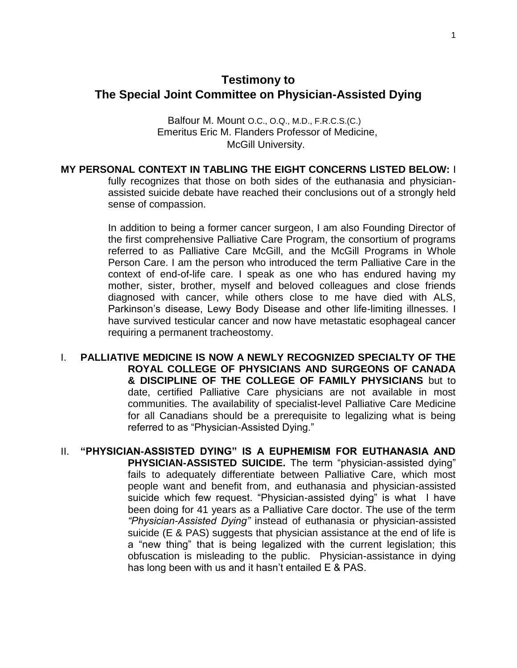## **Testimony to The Special Joint Committee on Physician-Assisted Dying**

Balfour M. Mount O.C., O.Q., M.D., F.R.C.S.(C.) Emeritus Eric M. Flanders Professor of Medicine, McGill University.

**MY PERSONAL CONTEXT IN TABLING THE EIGHT CONCERNS LISTED BELOW:** I fully recognizes that those on both sides of the euthanasia and physicianassisted suicide debate have reached their conclusions out of a strongly held sense of compassion.

> In addition to being a former cancer surgeon, I am also Founding Director of the first comprehensive Palliative Care Program, the consortium of programs referred to as Palliative Care McGill, and the McGill Programs in Whole Person Care. I am the person who introduced the term Palliative Care in the context of end-of-life care. I speak as one who has endured having my mother, sister, brother, myself and beloved colleagues and close friends diagnosed with cancer, while others close to me have died with ALS, Parkinson's disease, Lewy Body Disease and other life-limiting illnesses. I have survived testicular cancer and now have metastatic esophageal cancer requiring a permanent tracheostomy.

- I. **PALLIATIVE MEDICINE IS NOW A NEWLY RECOGNIZED SPECIALTY OF THE ROYAL COLLEGE OF PHYSICIANS AND SURGEONS OF CANADA & DISCIPLINE OF THE COLLEGE OF FAMILY PHYSICIANS** but to date, certified Palliative Care physicians are not available in most communities. The availability of specialist-level Palliative Care Medicine for all Canadians should be a prerequisite to legalizing what is being referred to as "Physician-Assisted Dying."
- II. **"PHYSICIAN-ASSISTED DYING" IS A EUPHEMISM FOR EUTHANASIA AND PHYSICIAN-ASSISTED SUICIDE.** The term "physician-assisted dying" fails to adequately differentiate between Palliative Care, which most people want and benefit from, and euthanasia and physician-assisted suicide which few request. "Physician-assisted dying" is what I have been doing for 41 years as a Palliative Care doctor. The use of the term *"Physician-Assisted Dying"* instead of euthanasia or physician-assisted suicide (E & PAS) suggests that physician assistance at the end of life is a "new thing" that is being legalized with the current legislation; this obfuscation is misleading to the public. Physician-assistance in dying has long been with us and it hasn't entailed E & PAS.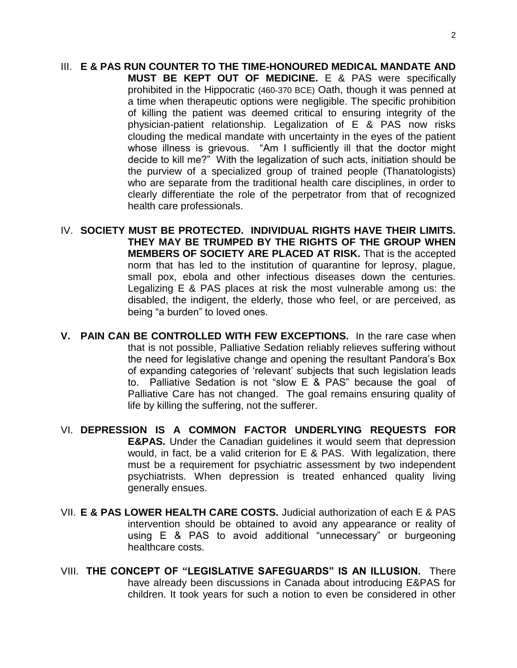- III. **E & PAS RUN COUNTER TO THE TIME-HONOURED MEDICAL MANDATE AND MUST BE KEPT OUT OF MEDICINE.** E & PAS were specifically prohibited in the Hippocratic (460-370 BCE) Oath, though it was penned at a time when therapeutic options were negligible. The specific prohibition of killing the patient was deemed critical to ensuring integrity of the physician-patient relationship. Legalization of E & PAS now risks clouding the medical mandate with uncertainty in the eyes of the patient whose illness is grievous. "Am I sufficiently ill that the doctor might decide to kill me?" With the legalization of such acts, initiation should be the purview of a specialized group of trained people (Thanatologists) who are separate from the traditional health care disciplines, in order to clearly differentiate the role of the perpetrator from that of recognized health care professionals.
- IV. **SOCIETY MUST BE PROTECTED. INDIVIDUAL RIGHTS HAVE THEIR LIMITS. THEY MAY BE TRUMPED BY THE RIGHTS OF THE GROUP WHEN MEMBERS OF SOCIETY ARE PLACED AT RISK.** That is the accepted norm that has led to the institution of quarantine for leprosy, plague, small pox, ebola and other infectious diseases down the centuries. Legalizing E & PAS places at risk the most vulnerable among us: the disabled, the indigent, the elderly, those who feel, or are perceived, as being "a burden" to loved ones.
- **V. PAIN CAN BE CONTROLLED WITH FEW EXCEPTIONS.** In the rare case when that is not possible, Palliative Sedation reliably relieves suffering without the need for legislative change and opening the resultant Pandora's Box of expanding categories of 'relevant' subjects that such legislation leads to. Palliative Sedation is not "slow E & PAS" because the goal of Palliative Care has not changed. The goal remains ensuring quality of life by killing the suffering, not the sufferer.
- VI. **DEPRESSION IS A COMMON FACTOR UNDERLYING REQUESTS FOR E&PAS.** Under the Canadian guidelines it would seem that depression would, in fact, be a valid criterion for E & PAS. With legalization, there must be a requirement for psychiatric assessment by two independent psychiatrists. When depression is treated enhanced quality living generally ensues.
- VII. **E & PAS LOWER HEALTH CARE COSTS.** Judicial authorization of each E & PAS intervention should be obtained to avoid any appearance or reality of using E & PAS to avoid additional "unnecessary" or burgeoning healthcare costs.
- VIII. **THE CONCEPT OF "LEGISLATIVE SAFEGUARDS" IS AN ILLUSION.** There have already been discussions in Canada about introducing E&PAS for children. It took years for such a notion to even be considered in other